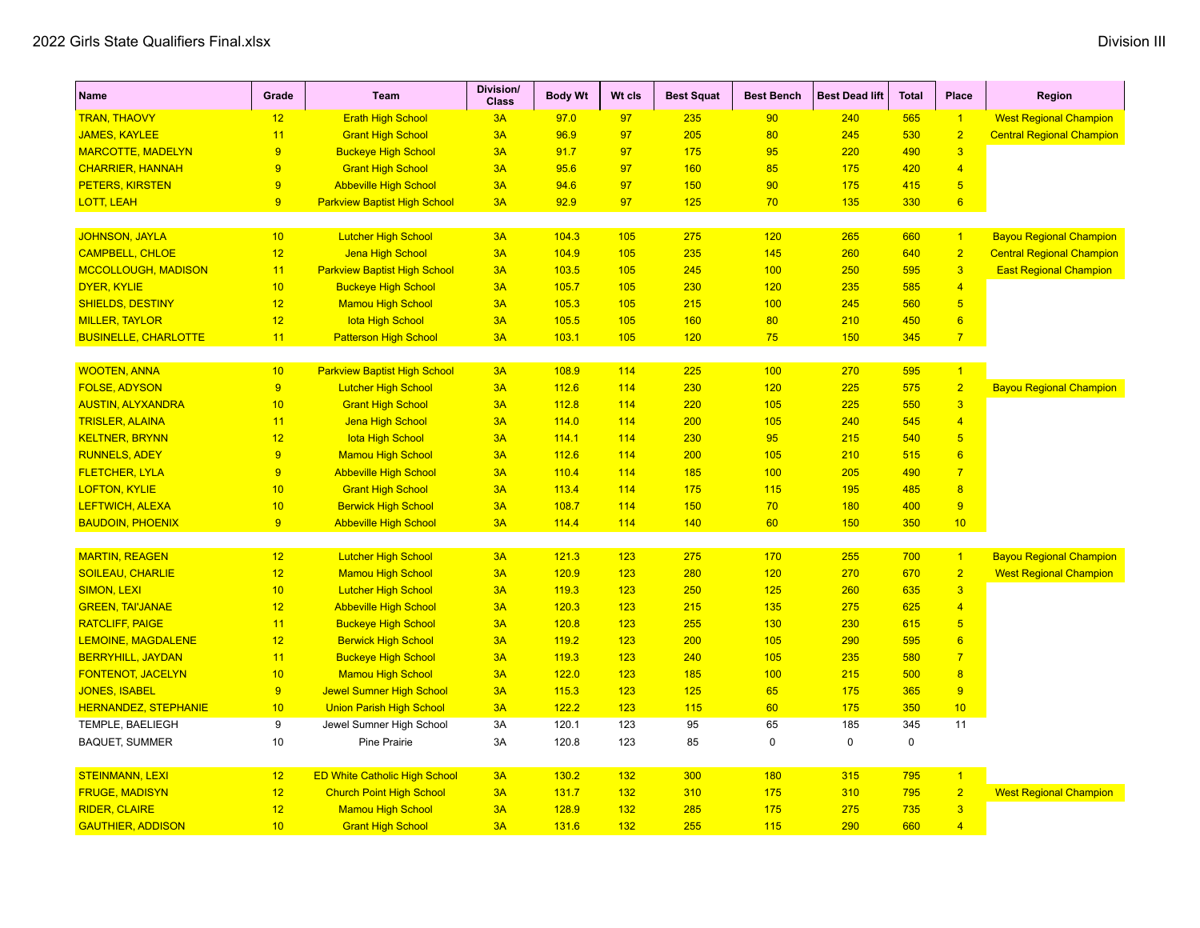| Name                        | Grade | <b>Team</b>                          | Division/<br><b>Class</b> | <b>Body Wt</b> | Wt cls | <b>Best Squat</b> | <b>Best Bench</b> | <b>Best Dead lift</b> | <b>Total</b> | Place           | Region                           |
|-----------------------------|-------|--------------------------------------|---------------------------|----------------|--------|-------------------|-------------------|-----------------------|--------------|-----------------|----------------------------------|
| <b>TRAN, THAOVY</b>         | 12    | <b>Erath High School</b>             | 3A                        | 97.0           | 97     | 235               | 90                | 240                   | 565          | $\vert$ 1       | <b>West Regional Champion</b>    |
| <b>JAMES, KAYLEE</b>        | 11    | <b>Grant High School</b>             | 3A                        | 96.9           | 97     | 205               | 80                | 245                   | 530          | $\overline{2}$  | <b>Central Regional Champion</b> |
| <b>MARCOTTE, MADELYN</b>    | 9     | <b>Buckeye High School</b>           | 3A                        | 91.7           | 97     | 175               | 95                | 220                   | 490          | $\overline{3}$  |                                  |
| <b>CHARRIER, HANNAH</b>     | 9     | <b>Grant High School</b>             | 3A                        | 95.6           | 97     | 160               | 85                | 175                   | 420          | $\overline{4}$  |                                  |
| <b>PETERS, KIRSTEN</b>      | 9     | <b>Abbeville High School</b>         | 3A                        | 94.6           | 97     | 150               | 90                | 175                   | 415          | 5 <sup>5</sup>  |                                  |
| <b>LOTT, LEAH</b>           | 9     | <b>Parkview Baptist High School</b>  | 3A                        | 92.9           | 97     | 125               | 70                | 135                   | 330          | 6 <sup>1</sup>  |                                  |
|                             |       |                                      |                           |                |        |                   |                   |                       |              |                 |                                  |
| <b>JOHNSON, JAYLA</b>       | 10    | <b>Lutcher High School</b>           | 3A                        | 104.3          | 105    | 275               | 120               | 265                   | 660          | $\mathbf{1}$    | <b>Bayou Regional Champion</b>   |
| <b>CAMPBELL, CHLOE</b>      | 12    | Jena High School                     | 3A                        | 104.9          | 105    | 235               | 145               | 260                   | 640          | $\overline{2}$  | <b>Central Regional Champion</b> |
| <b>MCCOLLOUGH, MADISON</b>  | 11    | <b>Parkview Baptist High School</b>  | 3A                        | 103.5          | 105    | 245               | 100               | 250                   | 595          | $\overline{3}$  | <b>East Regional Champion</b>    |
| DYER, KYLIE                 | 10    | <b>Buckeye High School</b>           | 3A                        | 105.7          | 105    | 230               | 120               | 235                   | 585          | $\overline{4}$  |                                  |
| <b>SHIELDS, DESTINY</b>     | 12    | <b>Mamou High School</b>             | 3A                        | 105.3          | 105    | 215               | 100               | 245                   | 560          | 5 <sub>5</sub>  |                                  |
| <b>MILLER, TAYLOR</b>       | 12    | <b>lota High School</b>              | 3A                        | 105.5          | 105    | 160               | 80                | 210                   | 450          | $6\overline{6}$ |                                  |
| <b>BUSINELLE, CHARLOTTE</b> | 11    | <b>Patterson High School</b>         | 3A                        | 103.1          | 105    | 120               | 75                | 150                   | 345          | 7 <sup>7</sup>  |                                  |
|                             |       |                                      |                           |                |        |                   |                   |                       |              |                 |                                  |
| <b>WOOTEN, ANNA</b>         | 10    | <b>Parkview Baptist High School</b>  | 3A                        | 108.9          | 114    | 225               | 100               | 270                   | 595          | $\overline{1}$  |                                  |
| <b>FOLSE, ADYSON</b>        | 9     | <b>Lutcher High School</b>           | 3A                        | 112.6          | 114    | 230               | 120               | 225                   | 575          | $\overline{2}$  | <b>Bayou Regional Champion</b>   |
| <b>AUSTIN, ALYXANDRA</b>    | 10    | <b>Grant High School</b>             | 3A                        | 112.8          | 114    | 220               | 105               | 225                   | 550          | $\overline{3}$  |                                  |
| <b>TRISLER, ALAINA</b>      | 11    | Jena High School                     | 3A                        | 114.0          | 114    | 200               | 105               | 240                   | 545          | $\overline{4}$  |                                  |
| <b>KELTNER, BRYNN</b>       | 12    | <b>lota High School</b>              | 3A                        | 114.1          | 114    | 230               | 95                | 215                   | 540          | 5 <sub>5</sub>  |                                  |
| <b>RUNNELS, ADEY</b>        | 9     | <b>Mamou High School</b>             | 3A                        | 112.6          | 114    | 200               | 105               | 210                   | 515          | 6 <sup>1</sup>  |                                  |
| <b>FLETCHER, LYLA</b>       | 9     | <b>Abbeville High School</b>         | 3A                        | 110.4          | 114    | 185               | 100               | 205                   | 490          | $\overline{7}$  |                                  |
| <b>LOFTON, KYLIE</b>        | 10    | <b>Grant High School</b>             | 3A                        | 113.4          | 114    | 175               | 115               | 195                   | 485          | 8               |                                  |
| <b>LEFTWICH, ALEXA</b>      | 10    | <b>Berwick High School</b>           | 3A                        | 108.7          | 114    | 150               | 70                | 180                   | 400          | 9               |                                  |
| <b>BAUDOIN, PHOENIX</b>     | 9     | <b>Abbeville High School</b>         | 3A                        | 114.4          | 114    | 140               | 60                | 150                   | 350          | 10              |                                  |
|                             |       |                                      |                           |                |        |                   |                   |                       |              |                 |                                  |
| <b>MARTIN, REAGEN</b>       | 12    | <b>Lutcher High School</b>           | 3A                        | 121.3          | 123    | 275               | 170               | 255                   | 700          | $\vert$ 1       | <b>Bayou Regional Champion</b>   |
| <b>SOILEAU, CHARLIE</b>     | 12    | <b>Mamou High School</b>             | 3A                        | 120.9          | 123    | 280               | 120               | 270                   | 670          | $\overline{2}$  | <b>West Regional Champion</b>    |
| <b>SIMON, LEXI</b>          | 10    | <b>Lutcher High School</b>           | 3A                        | 119.3          | 123    | 250               | 125               | 260                   | 635          | $\overline{3}$  |                                  |
| <b>GREEN, TAI'JANAE</b>     | 12    | <b>Abbeville High School</b>         | 3A                        | 120.3          | 123    | 215               | 135               | 275                   | 625          | $\overline{4}$  |                                  |
| <b>RATCLIFF, PAIGE</b>      | 11    | <b>Buckeye High School</b>           | 3A                        | 120.8          | 123    | 255               | 130               | 230                   | 615          | 5 <sub>5</sub>  |                                  |
| <b>LEMOINE, MAGDALENE</b>   | 12    | <b>Berwick High School</b>           | 3A                        | 119.2          | 123    | 200               | 105               | 290                   | 595          | 6               |                                  |
| <b>BERRYHILL, JAYDAN</b>    | 11    | <b>Buckeye High School</b>           | 3A                        | 119.3          | 123    | 240               | 105               | 235                   | 580          | $\overline{7}$  |                                  |
| <b>FONTENOT, JACELYN</b>    | 10    | <b>Mamou High School</b>             | 3A                        | 122.0          | 123    | 185               | 100               | 215                   | 500          | 8               |                                  |
| <b>JONES, ISABEL</b>        | 9     | <b>Jewel Sumner High School</b>      | 3A                        | 115.3          | 123    | 125               | 65                | 175                   | 365          | 9               |                                  |
| <b>HERNANDEZ, STEPHANIE</b> | 10    | <b>Union Parish High School</b>      | 3A                        | 122.2          | 123    | 115               | 60                | 175                   | 350          | 10 <sub>1</sub> |                                  |
| TEMPLE, BAELIEGH            | 9     | Jewel Sumner High School             | 3A                        | 120.1          | 123    | 95                | 65                | 185                   | 345          | 11              |                                  |
| <b>BAQUET, SUMMER</b>       | 10    | Pine Prairie                         | 3A                        | 120.8          | 123    | 85                | $\mathbf 0$       | $\mathbf 0$           | $\mathbf 0$  |                 |                                  |
|                             |       |                                      |                           |                |        |                   |                   |                       |              |                 |                                  |
| <b>STEINMANN, LEXI</b>      | 12    | <b>ED White Catholic High School</b> | 3A                        | 130.2          | 132    | 300               | 180               | 315                   | 795          | $\overline{1}$  |                                  |
| <b>FRUGE, MADISYN</b>       | 12    | <b>Church Point High School</b>      | 3A                        | 131.7          | 132    | 310               | 175               | 310                   | 795          | $\overline{2}$  | <b>West Regional Champion</b>    |
| <b>RIDER, CLAIRE</b>        | 12    | <b>Mamou High School</b>             | 3A                        | 128.9          | 132    | 285               | 175               | 275                   | 735          | $\overline{3}$  |                                  |
| <b>GAUTHIER, ADDISON</b>    | 10    | <b>Grant High School</b>             | 3A                        | 131.6          | 132    | 255               | 115               | 290                   | 660          | $\overline{4}$  |                                  |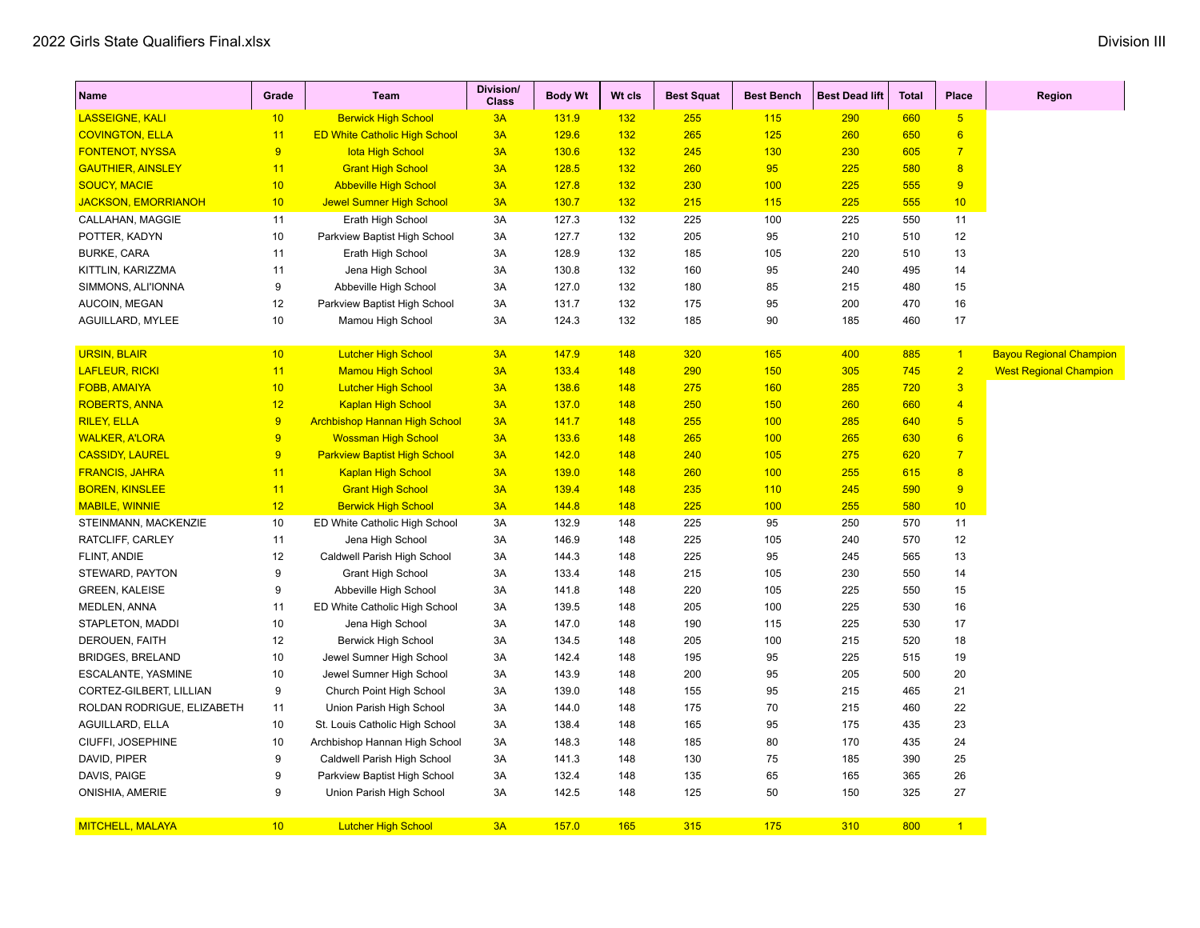| Name                       | Grade | <b>Team</b>                          | <b>Division/</b><br><b>Class</b> | <b>Body Wt</b> | Wt cls | <b>Best Squat</b> | <b>Best Bench</b> | <b>Best Dead lift</b> | <b>Total</b> | Place           | <b>Region</b>                  |
|----------------------------|-------|--------------------------------------|----------------------------------|----------------|--------|-------------------|-------------------|-----------------------|--------------|-----------------|--------------------------------|
| <b>LASSEIGNE, KALI</b>     | 10    | <b>Berwick High School</b>           | 3A                               | 131.9          | 132    | 255               | 115               | 290                   | 660          | $5\overline{)}$ |                                |
| <b>COVINGTON, ELLA</b>     | 11    | <b>ED White Catholic High School</b> | 3A                               | 129.6          | 132    | 265               | 125               | 260                   | 650          | $6\phantom{a}$  |                                |
| <b>FONTENOT, NYSSA</b>     | 9     | <b>lota High School</b>              | 3A                               | 130.6          | 132    | 245               | 130               | 230                   | 605          | $\overline{7}$  |                                |
| <b>GAUTHIER, AINSLEY</b>   | 11    | <b>Grant High School</b>             | 3A                               | 128.5          | 132    | 260               | 95                | 225                   | 580          | 8               |                                |
| <b>SOUCY, MACIE</b>        | 10    | <b>Abbeville High School</b>         | 3A                               | 127.8          | 132    | 230               | 100               | 225                   | 555          | 9               |                                |
| <b>JACKSON, EMORRIANOH</b> | 10    | <b>Jewel Sumner High School</b>      | 3A                               | 130.7          | 132    | 215               | 115               | 225                   | 555          | 10 <sup>°</sup> |                                |
| CALLAHAN, MAGGIE           | 11    | Erath High School                    | 3A                               | 127.3          | 132    | 225               | 100               | 225                   | 550          | 11              |                                |
| POTTER, KADYN              | 10    | Parkview Baptist High School         | 3A                               | 127.7          | 132    | 205               | 95                | 210                   | 510          | 12              |                                |
| <b>BURKE, CARA</b>         | 11    | Erath High School                    | 3A                               | 128.9          | 132    | 185               | 105               | 220                   | 510          | 13              |                                |
| KITTLIN, KARIZZMA          | 11    | Jena High School                     | 3A                               | 130.8          | 132    | 160               | 95                | 240                   | 495          | 14              |                                |
| SIMMONS, ALI'IONNA         | 9     | Abbeville High School                | 3A                               | 127.0          | 132    | 180               | 85                | 215                   | 480          | 15              |                                |
| AUCOIN, MEGAN              | 12    | Parkview Baptist High School         | 3A                               | 131.7          | 132    | 175               | 95                | 200                   | 470          | 16              |                                |
| AGUILLARD, MYLEE           | 10    | Mamou High School                    | 3A                               | 124.3          | 132    | 185               | 90                | 185                   | 460          | 17              |                                |
|                            |       |                                      |                                  |                |        |                   |                   |                       |              |                 |                                |
| <b>URSIN, BLAIR</b>        | 10    | <b>Lutcher High School</b>           | 3A                               | 147.9          | 148    | 320               | 165               | 400                   | 885          | $\vert$ 1       | <b>Bayou Regional Champion</b> |
| <b>LAFLEUR, RICKI</b>      | 11    | <b>Mamou High School</b>             | 3A                               | 133.4          | 148    | 290               | 150               | 305                   | 745          | $\overline{2}$  | <b>West Regional Champion</b>  |
| <b>FOBB, AMAIYA</b>        | 10    | <b>Lutcher High School</b>           | 3A                               | 138.6          | 148    | 275               | 160               | 285                   | 720          | $\overline{3}$  |                                |
| <b>ROBERTS, ANNA</b>       | 12    | <b>Kaplan High School</b>            | 3A                               | 137.0          | 148    | 250               | 150               | 260                   | 660          | $\overline{4}$  |                                |
| <b>RILEY, ELLA</b>         | 9     | <b>Archbishop Hannan High School</b> | 3A                               | 141.7          | 148    | 255               | 100               | 285                   | 640          | $5\overline{)}$ |                                |
| <b>WALKER, A'LORA</b>      | 9     | <b>Wossman High School</b>           | 3A                               | 133.6          | 148    | 265               | 100               | 265                   | 630          | 6               |                                |
| <b>CASSIDY, LAUREL</b>     | 9     | <b>Parkview Baptist High School</b>  | 3A                               | 142.0          | 148    | 240               | 105               | 275                   | 620          | $\overline{7}$  |                                |
| <b>FRANCIS, JAHRA</b>      | 11    | <b>Kaplan High School</b>            | 3A                               | 139.0          | 148    | 260               | 100               | 255                   | 615          | 8               |                                |
| <b>BOREN, KINSLEE</b>      | 11    | <b>Grant High School</b>             | 3A                               | 139.4          | 148    | 235               | 110               | 245                   | 590          | 9               |                                |
| <b>MABILE, WINNIE</b>      | 12    | <b>Berwick High School</b>           | 3A                               | 144.8          | 148    | 225               | 100               | 255                   | 580          | 10 <sub>1</sub> |                                |
| STEINMANN, MACKENZIE       | 10    | ED White Catholic High School        | 3A                               | 132.9          | 148    | 225               | 95                | 250                   | 570          | 11              |                                |
| RATCLIFF, CARLEY           | 11    | Jena High School                     | 3A                               | 146.9          | 148    | 225               | 105               | 240                   | 570          | 12              |                                |
| FLINT, ANDIE               | 12    | Caldwell Parish High School          | 3A                               | 144.3          | 148    | 225               | 95                | 245                   | 565          | 13              |                                |
| STEWARD, PAYTON            | 9     | Grant High School                    | 3A                               | 133.4          | 148    | 215               | 105               | 230                   | 550          | 14              |                                |
| <b>GREEN, KALEISE</b>      | 9     | Abbeville High School                | 3A                               | 141.8          | 148    | 220               | 105               | 225                   | 550          | 15              |                                |
| MEDLEN, ANNA               | 11    | ED White Catholic High School        | 3A                               | 139.5          | 148    | 205               | 100               | 225                   | 530          | 16              |                                |
| STAPLETON, MADDI           | $10$  | Jena High School                     | 3A                               | 147.0          | 148    | 190               | 115               | 225                   | 530          | 17              |                                |
| DEROUEN, FAITH             | 12    | <b>Berwick High School</b>           | 3A                               | 134.5          | 148    | 205               | 100               | 215                   | 520          | 18              |                                |
| <b>BRIDGES, BRELAND</b>    | 10    | Jewel Sumner High School             | 3A                               | 142.4          | 148    | 195               | 95                | 225                   | 515          | 19              |                                |
| ESCALANTE, YASMINE         | 10    | Jewel Sumner High School             | 3A                               | 143.9          | 148    | 200               | 95                | 205                   | 500          | 20              |                                |
| CORTEZ-GILBERT, LILLIAN    | 9     | Church Point High School             | 3A                               | 139.0          | 148    | 155               | 95                | 215                   | 465          | 21              |                                |
| ROLDAN RODRIGUE, ELIZABETH | 11    | Union Parish High School             | 3A                               | 144.0          | 148    | 175               | 70                | 215                   | 460          | 22              |                                |
| AGUILLARD, ELLA            | 10    | St. Louis Catholic High School       | 3A                               | 138.4          | 148    | 165               | 95                | 175                   | 435          | 23              |                                |
| CIUFFI, JOSEPHINE          | 10    | Archbishop Hannan High School        | 3A                               | 148.3          | 148    | 185               | 80                | 170                   | 435          | 24              |                                |
| DAVID, PIPER               | 9     | Caldwell Parish High School          | 3A                               | 141.3          | 148    | 130               | 75                | 185                   | 390          | 25              |                                |
| DAVIS, PAIGE               | 9     | Parkview Baptist High School         | 3A                               | 132.4          | 148    | 135               | 65                | 165                   | 365          | 26              |                                |
| ONISHIA, AMERIE            | 9     | Union Parish High School             | 3A                               | 142.5          | 148    | 125               | 50                | 150                   | 325          | 27              |                                |
|                            |       |                                      |                                  |                |        |                   |                   |                       |              |                 |                                |
| <b>MITCHELL, MALAYA</b>    | 10    | <b>Lutcher High School</b>           | 3A                               | 157.0          | 165    | 315               | 175               | 310                   | 800          | $\mathbf{1}$    |                                |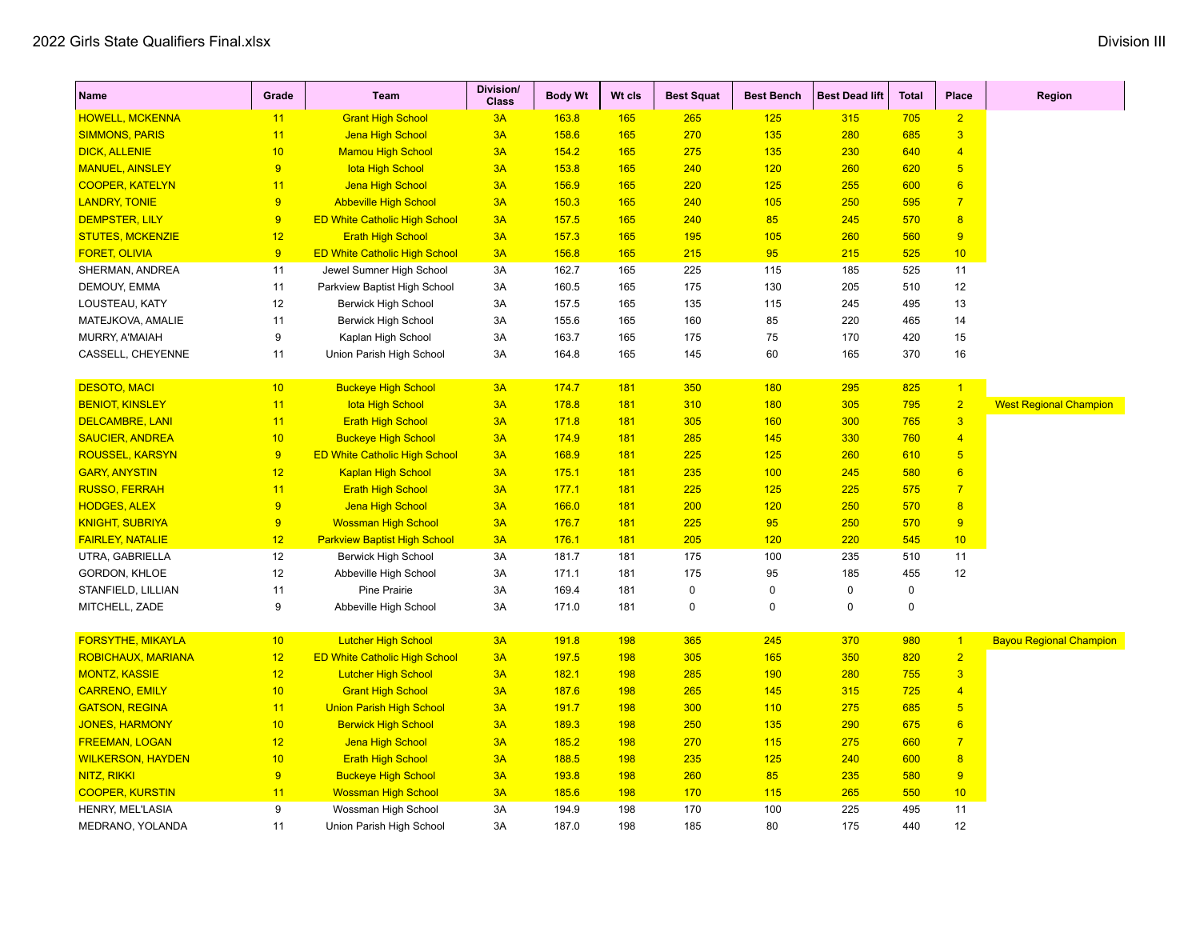| <b>Name</b>              | Grade | <b>Team</b>                          | Division/<br><b>Class</b> | <b>Body Wt</b> | Wt cls     | <b>Best Squat</b> | <b>Best Bench</b> | <b>Best Dead lift</b> | <b>Total</b> | Place           | Region                         |
|--------------------------|-------|--------------------------------------|---------------------------|----------------|------------|-------------------|-------------------|-----------------------|--------------|-----------------|--------------------------------|
| <b>HOWELL, MCKENNA</b>   | 11    | <b>Grant High School</b>             | 3A                        | 163.8          | 165        | 265               | 125               | 315                   | 705          | $\overline{2}$  |                                |
| <b>SIMMONS, PARIS</b>    | 11    | Jena High School                     | 3A                        | 158.6          | 165        | 270               | 135               | 280                   | 685          | $\overline{3}$  |                                |
| <b>DICK, ALLENIE</b>     | 10    | <b>Mamou High School</b>             | 3A                        | 154.2          | 165        | 275               | 135               | 230                   | 640          | $\overline{4}$  |                                |
| <b>MANUEL, AINSLEY</b>   | 9     | <b>lota High School</b>              | 3A                        | 153.8          | 165        | 240               | 120               | 260                   | 620          | $5\overline{)}$ |                                |
| <b>COOPER, KATELYN</b>   | 11    | Jena High School                     | 3A                        | 156.9          | 165        | 220               | 125               | 255                   | 600          | $6\overline{6}$ |                                |
| <b>LANDRY, TONIE</b>     | 9     | <b>Abbeville High School</b>         | 3A                        | 150.3          | 165        | 240               | 105               | 250                   | 595          | $\overline{7}$  |                                |
| <b>DEMPSTER, LILY</b>    | 9     | <b>ED White Catholic High School</b> | 3A                        | 157.5          | 165        | 240               | 85                | 245                   | 570          | 8               |                                |
| <b>STUTES, MCKENZIE</b>  | 12    | <b>Erath High School</b>             | 3A                        | 157.3          | 165        | <b>195</b>        | 105               | 260                   | 560          | 9               |                                |
| <b>FORET, OLIVIA</b>     | 9     | <b>ED White Catholic High School</b> | 3A                        | 156.8          | 165        | 215               | 95                | 215                   | 525          | 10              |                                |
| SHERMAN, ANDREA          | 11    | Jewel Sumner High School             | 3A                        | 162.7          | 165        | 225               | 115               | 185                   | 525          | 11              |                                |
| DEMOUY, EMMA             | 11    | Parkview Baptist High School         | 3A                        | 160.5          | 165        | 175               | 130               | 205                   | 510          | 12              |                                |
| LOUSTEAU, KATY           | 12    | Berwick High School                  | 3A                        | 157.5          | 165        | 135               | 115               | 245                   | 495          | 13              |                                |
| MATEJKOVA, AMALIE        | 11    | Berwick High School                  | 3A                        | 155.6          | 165        | 160               | 85                | 220                   | 465          | 14              |                                |
| MURRY, A'MAIAH           | 9     | Kaplan High School                   | 3A                        | 163.7          | 165        | 175               | 75                | 170                   | 420          | 15              |                                |
| CASSELL, CHEYENNE        | 11    | Union Parish High School             | 3A                        | 164.8          | 165        | 145               | 60                | 165                   | 370          | 16              |                                |
| <b>DESOTO, MACI</b>      | 10    | <b>Buckeye High School</b>           | 3A                        | 174.7          | 181        | 350               | 180               | 295                   | 825          | $\overline{1}$  |                                |
| <b>BENIOT, KINSLEY</b>   | 11    | <b>lota High School</b>              | 3A                        | 178.8          | 181        | 310               | 180               | 305                   | 795          | $\overline{2}$  | <b>West Regional Champion</b>  |
| <b>DELCAMBRE, LANI</b>   | 11    | <b>Erath High School</b>             | 3A                        | 171.8          | 181        | 305               | 160               | 300                   | 765          | $\overline{3}$  |                                |
| <b>SAUCIER, ANDREA</b>   | 10    | <b>Buckeye High School</b>           | 3A                        | 174.9          | 181        | 285               | 145               | 330                   | 760          | $\overline{4}$  |                                |
| <b>ROUSSEL, KARSYN</b>   | 9     | <b>ED White Catholic High School</b> | 3A                        | 168.9          | 181        | 225               | 125               | 260                   | 610          | $5\overline{)}$ |                                |
| <b>GARY, ANYSTIN</b>     | 12    | <b>Kaplan High School</b>            | 3A                        | 175.1          | 181        | 235               | 100               | 245                   | 580          | $6\overline{6}$ |                                |
| <b>RUSSO, FERRAH</b>     | 11    | <b>Erath High School</b>             | 3A                        | 177.1          | 181        | 225               | 125               | 225                   | 575          | $\overline{7}$  |                                |
| <b>HODGES, ALEX</b>      | 9     | Jena High School                     | 3A                        | 166.0          | 181        | 200               | 120               | 250                   | 570          | 8               |                                |
| <b>KNIGHT, SUBRIYA</b>   | 9     | <b>Wossman High School</b>           | 3A                        | 176.7          | 181        | 225               | 95                | 250                   | 570          | 9               |                                |
| <b>FAIRLEY, NATALIE</b>  | 12    | <b>Parkview Baptist High School</b>  | 3A                        | 176.1          | 181        | 205               | 120               | 220                   | 545          | 10 <sub>1</sub> |                                |
| UTRA, GABRIELLA          | 12    | Berwick High School                  | 3A                        | 181.7          | 181        | 175               | 100               | 235                   | 510          | 11              |                                |
| GORDON, KHLOE            | 12    | Abbeville High School                | 3A                        | 171.1          | 181        | 175               | 95                | 185                   | 455          | 12              |                                |
| STANFIELD, LILLIAN       | 11    | Pine Prairie                         | 3A                        | 169.4          | 181        | $\mathbf 0$       | $\mathbf 0$       | $\mathbf 0$           | 0            |                 |                                |
| MITCHELL, ZADE           | 9     | Abbeville High School                | 3A                        | 171.0          | 181        | 0                 | $\Omega$          | $\mathbf 0$           | $\mathbf 0$  |                 |                                |
| <b>FORSYTHE, MIKAYLA</b> | 10    | <b>Lutcher High School</b>           | 3A                        | 191.8          | 198        | 365               | 245               | 370                   | 980          | $\vert$ 1       | <b>Bayou Regional Champion</b> |
| ROBICHAUX, MARIANA       | 12    | <b>ED White Catholic High School</b> | 3A                        | 197.5          | 198        | 305               | 165               | 350                   | 820          | $\overline{2}$  |                                |
| <b>MONTZ, KASSIE</b>     | 12    | <b>Lutcher High School</b>           | 3A                        | 182.1          | 198        | 285               | 190               | 280                   | 755          | $\overline{3}$  |                                |
| <b>CARRENO, EMILY</b>    | 10    | <b>Grant High School</b>             | 3A                        | 187.6          | 198        | 265               | 145               | 315                   | 725          | $\overline{4}$  |                                |
| <b>GATSON, REGINA</b>    | 11    | <b>Union Parish High School</b>      | 3A                        | 191.7          | 198        | 300               | 110               | 275                   | 685          | $5\phantom{a}$  |                                |
| <b>JONES, HARMONY</b>    | 10    | <b>Berwick High School</b>           | 3A                        | 189.3          | <b>198</b> | 250               | 135               | 290                   | 675          | $6\overline{6}$ |                                |
| <b>FREEMAN, LOGAN</b>    | 12    | Jena High School                     | 3A                        | 185.2          | 198        | 270               | 115               | 275                   | 660          | $\overline{7}$  |                                |
| <b>WILKERSON, HAYDEN</b> | 10    | <b>Erath High School</b>             | 3A                        | 188.5          | 198        | 235               | 125               | 240                   | 600          | 8               |                                |
| NITZ, RIKKI              | 9     | <b>Buckeye High School</b>           | 3A                        | 193.8          | 198        | 260               | 85                | 235                   | 580          | 9               |                                |
| <b>COOPER, KURSTIN</b>   | 11    | <b>Wossman High School</b>           | 3A                        | 185.6          | <b>198</b> | 170               | 115               | 265                   | 550          | 10 <sub>1</sub> |                                |
| HENRY, MEL'LASIA         | 9     | Wossman High School                  | 3A                        | 194.9          | 198        | 170               | 100               | 225                   | 495          | 11              |                                |
| MEDRANO, YOLANDA         | 11    | Union Parish High School             | 3A                        | 187.0          | 198        | 185               | 80                | 175                   | 440          | 12              |                                |